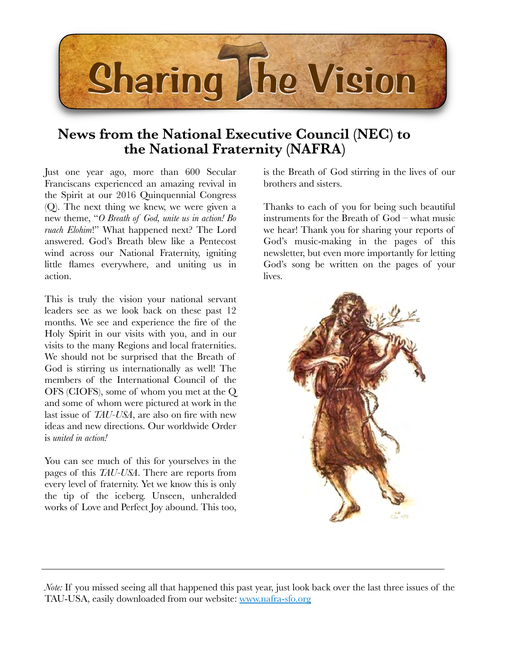

## **News from the National Executive Council (NEC) to the National Fraternity (NAFRA)**

Just one year ago, more than 600 Secular Franciscans experienced an amazing revival in the Spirit at our 2016 Quinquennial Congress (Q). The next thing we knew, we were given a new theme, "*O Breath of God, unite us in action! Bo ruach Elohim*!" What happened next? The Lord answered. God's Breath blew like a Pentecost wind across our National Fraternity, igniting little flames everywhere, and uniting us in action.

This is truly the vision your national servant leaders see as we look back on these past 12 months. We see and experience the fire of the Holy Spirit in our visits with you, and in our visits to the many Regions and local fraternities. We should not be surprised that the Breath of God is stirring us internationally as well! The members of the International Council of the OFS (CIOFS), some of whom you met at the Q and some of whom were pictured at work in the last issue of *TAU-USA*, are also on fire with new ideas and new directions. Our worldwide Order is *united in action!*

You can see much of this for yourselves in the pages of this *TAU-USA*. There are reports from every level of fraternity. Yet we know this is only the tip of the iceberg. Unseen, unheralded works of Love and Perfect Joy abound. This too,

is the Breath of God stirring in the lives of our brothers and sisters.

Thanks to each of you for being such beautiful instruments for the Breath of God – what music we hear! Thank you for sharing your reports of God's music-making in the pages of this newsletter, but even more importantly for letting God's song be written on the pages of your lives.



*Note:* If you missed seeing all that happened this past year, just look back over the last three issues of the TAU-USA, easily downloaded from our website: [www.nafra-sfo.org](http://www.nafra-sfo.org)